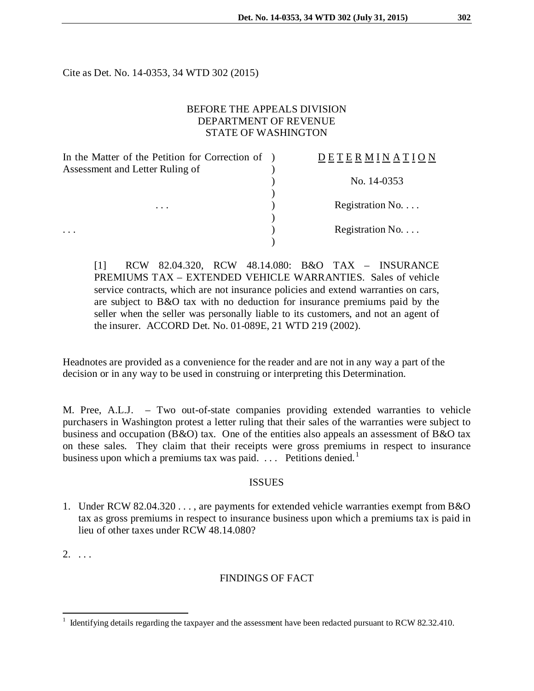Cite as Det. No. 14-0353, 34 WTD 302 (2015)

#### BEFORE THE APPEALS DIVISION DEPARTMENT OF REVENUE STATE OF WASHINGTON

| In the Matter of the Petition for Correction of | <b>DETERMINATION</b>     |
|-------------------------------------------------|--------------------------|
| Assessment and Letter Ruling of                 |                          |
|                                                 | No. 14-0353              |
|                                                 |                          |
| $\cdots$                                        | Registration No. $\dots$ |
|                                                 |                          |
|                                                 | Registration No. $\dots$ |
|                                                 |                          |

[1] RCW 82.04.320, RCW 48.14.080: B&O TAX – INSURANCE PREMIUMS TAX – EXTENDED VEHICLE WARRANTIES. Sales of vehicle service contracts, which are not insurance policies and extend warranties on cars, are subject to B&O tax with no deduction for insurance premiums paid by the seller when the seller was personally liable to its customers, and not an agent of the insurer. ACCORD Det. No. 01-089E, 21 WTD 219 (2002).

Headnotes are provided as a convenience for the reader and are not in any way a part of the decision or in any way to be used in construing or interpreting this Determination.

M. Pree, A.L.J. – Two out-of-state companies providing extended warranties to vehicle purchasers in Washington protest a letter ruling that their sales of the warranties were subject to business and occupation (B&O) tax. One of the entities also appeals an assessment of B&O tax on these sales. They claim that their receipts were gross premiums in respect to insurance business upon which a premiums tax was paid.  $\ldots$  Petitions denied.<sup>[1](#page-0-0)</sup>

#### ISSUES

1. Under RCW 82.04.320 . . . , are payments for extended vehicle warranties exempt from B&O tax as gross premiums in respect to insurance business upon which a premiums tax is paid in lieu of other taxes under RCW 48.14.080?

 $2. \ldots$ 

### FINDINGS OF FACT

<span id="page-0-0"></span> <sup>1</sup> Identifying details regarding the taxpayer and the assessment have been redacted pursuant to RCW 82.32.410.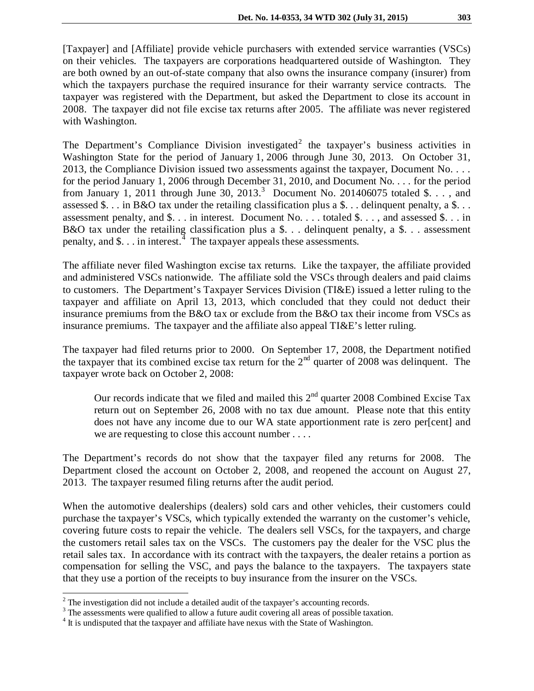[Taxpayer] and [Affiliate] provide vehicle purchasers with extended service warranties (VSCs) on their vehicles. The taxpayers are corporations headquartered outside of Washington. They are both owned by an out-of-state company that also owns the insurance company (insurer) from which the taxpayers purchase the required insurance for their warranty service contracts. The taxpayer was registered with the Department, but asked the Department to close its account in 2008. The taxpayer did not file excise tax returns after 2005. The affiliate was never registered with Washington.

The Department's Compliance Division investigated<sup>[2](#page-1-0)</sup> the taxpayer's business activities in Washington State for the period of January 1, 2006 through June 30, 2013. On October 31, 2013, the Compliance Division issued two assessments against the taxpayer, Document No. . . . for the period January 1, 2006 through December 31, 2010, and Document No. . . . for the period from January 1, 2011 through June [3](#page-1-1)0, 2013.<sup>3</sup> Document No. 201406075 totaled \$. . . , and assessed \$. . . in B&O tax under the retailing classification plus a \$. . . delinquent penalty, a \$. . . assessment penalty, and \$. . . in interest. Document No. . . . totaled \$. . . , and assessed \$. . . in B&O tax under the retailing classification plus a  $\hat{\theta}$ ... delinquent penalty, a  $\hat{\theta}$ ... assessment penalty, and \$ $\dots$  in interest.<sup>[4](#page-1-2)</sup> The taxpayer appeals these assessments.

The affiliate never filed Washington excise tax returns. Like the taxpayer, the affiliate provided and administered VSCs nationwide. The affiliate sold the VSCs through dealers and paid claims to customers. The Department's Taxpayer Services Division (TI&E) issued a letter ruling to the taxpayer and affiliate on April 13, 2013, which concluded that they could not deduct their insurance premiums from the B&O tax or exclude from the B&O tax their income from VSCs as insurance premiums. The taxpayer and the affiliate also appeal TI&E's letter ruling.

The taxpayer had filed returns prior to 2000. On September 17, 2008, the Department notified the taxpayer that its combined excise tax return for the  $2<sup>nd</sup>$  quarter of 2008 was delinquent. The taxpayer wrote back on October 2, 2008:

Our records indicate that we filed and mailed this  $2<sup>nd</sup>$  quarter 2008 Combined Excise Tax return out on September 26, 2008 with no tax due amount. Please note that this entity does not have any income due to our WA state apportionment rate is zero per[cent] and we are requesting to close this account number . . . .

The Department's records do not show that the taxpayer filed any returns for 2008. The Department closed the account on October 2, 2008, and reopened the account on August 27, 2013. The taxpayer resumed filing returns after the audit period.

When the automotive dealerships (dealers) sold cars and other vehicles, their customers could purchase the taxpayer's VSCs, which typically extended the warranty on the customer's vehicle, covering future costs to repair the vehicle. The dealers sell VSCs, for the taxpayers, and charge the customers retail sales tax on the VSCs. The customers pay the dealer for the VSC plus the retail sales tax. In accordance with its contract with the taxpayers, the dealer retains a portion as compensation for selling the VSC, and pays the balance to the taxpayers. The taxpayers state that they use a portion of the receipts to buy insurance from the insurer on the VSCs.

<span id="page-1-0"></span> $2^2$  The investigation did not include a detailed audit of the taxpayer's accounting records.

<span id="page-1-1"></span><sup>&</sup>lt;sup>3</sup> The assessments were qualified to allow a future audit covering all areas of possible taxation.

<span id="page-1-2"></span><sup>&</sup>lt;sup>4</sup> It is undisputed that the taxpayer and affiliate have nexus with the State of Washington.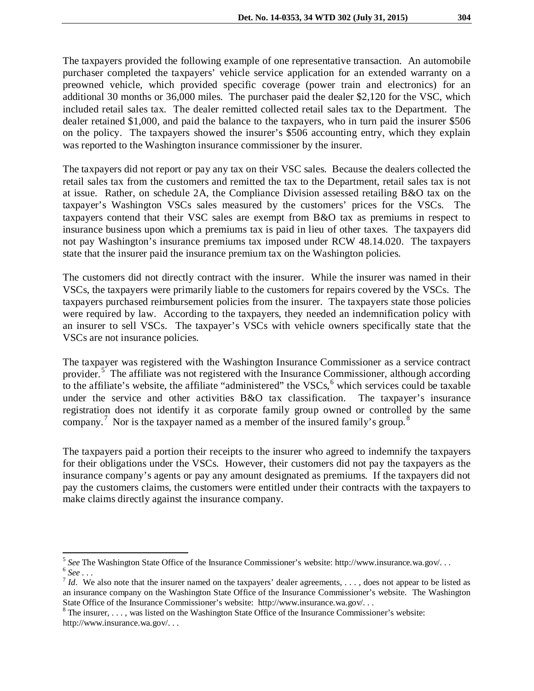The taxpayers provided the following example of one representative transaction. An automobile purchaser completed the taxpayers' vehicle service application for an extended warranty on a preowned vehicle, which provided specific coverage (power train and electronics) for an additional 30 months or 36,000 miles. The purchaser paid the dealer \$2,120 for the VSC, which included retail sales tax. The dealer remitted collected retail sales tax to the Department. The dealer retained \$1,000, and paid the balance to the taxpayers, who in turn paid the insurer \$506 on the policy. The taxpayers showed the insurer's \$506 accounting entry, which they explain was reported to the Washington insurance commissioner by the insurer.

The taxpayers did not report or pay any tax on their VSC sales. Because the dealers collected the retail sales tax from the customers and remitted the tax to the Department, retail sales tax is not at issue. Rather, on schedule 2A, the Compliance Division assessed retailing B&O tax on the taxpayer's Washington VSCs sales measured by the customers' prices for the VSCs. The taxpayers contend that their VSC sales are exempt from B&O tax as premiums in respect to insurance business upon which a premiums tax is paid in lieu of other taxes. The taxpayers did not pay Washington's insurance premiums tax imposed under RCW 48.14.020. The taxpayers state that the insurer paid the insurance premium tax on the Washington policies.

The customers did not directly contract with the insurer. While the insurer was named in their VSCs, the taxpayers were primarily liable to the customers for repairs covered by the VSCs. The taxpayers purchased reimbursement policies from the insurer. The taxpayers state those policies were required by law. According to the taxpayers, they needed an indemnification policy with an insurer to sell VSCs. The taxpayer's VSCs with vehicle owners specifically state that the VSCs are not insurance policies.

The taxpayer was registered with the Washington Insurance Commissioner as a service contract provider.<sup>[5](#page-2-0)</sup> The affiliate was not registered with the Insurance Commissioner, although according to the affiliate's website, the affiliate "administered" the  $VSCs<sub>0</sub><sup>6</sup>$  $VSCs<sub>0</sub><sup>6</sup>$  $VSCs<sub>0</sub><sup>6</sup>$  which services could be taxable under the service and other activities B&O tax classification. The taxpayer's insurance registration does not identify it as corporate family group owned or controlled by the same company.<sup>[7](#page-2-2)</sup> Nor is the taxpayer named as a member of the insured family's group.<sup>[8](#page-2-3)</sup>

The taxpayers paid a portion their receipts to the insurer who agreed to indemnify the taxpayers for their obligations under the VSCs. However, their customers did not pay the taxpayers as the insurance company's agents or pay any amount designated as premiums. If the taxpayers did not pay the customers claims, the customers were entitled under their contracts with the taxpayers to make claims directly against the insurance company.

<span id="page-2-1"></span><span id="page-2-0"></span><sup>&</sup>lt;sup>5</sup> See The Washington State Office of the Insurance Commissioner's website: http://www.insurance.wa.gov/...<br>
<sup>6</sup> See ...<br>
<sup>7</sup> Id. We also note that the insurer named on the taxpayers' dealer agreements, ..., does not app

<span id="page-2-2"></span>an insurance company on the Washington State Office of the Insurance Commissioner's website. The Washington State Office of the Insurance Commissioner's website: http://www.insurance.wa.gov/...

<span id="page-2-3"></span> $8$  The insurer, . . . , was listed on the Washington State Office of the Insurance Commissioner's website: http://www.insurance.wa.gov/. . .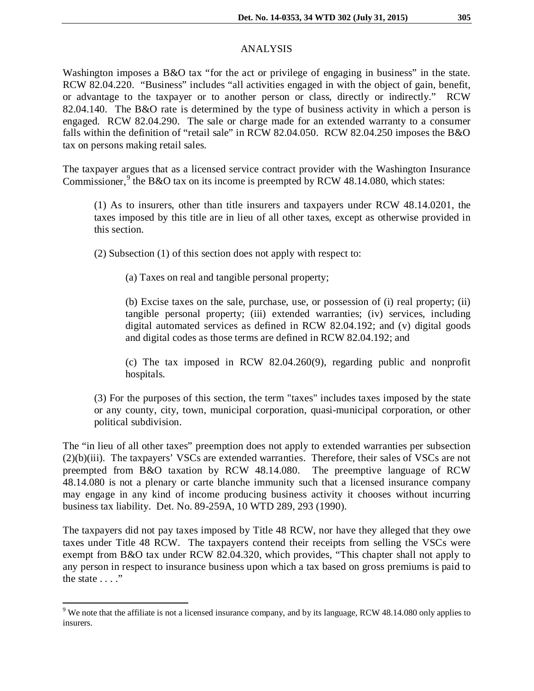## ANALYSIS

Washington imposes a B&O tax "for the act or privilege of engaging in business" in the state. RCW 82.04.220. "Business" includes "all activities engaged in with the object of gain, benefit, or advantage to the taxpayer or to another person or class, directly or indirectly." RCW 82.04.140. The B&O rate is determined by the type of business activity in which a person is engaged. RCW 82.04.290. The sale or charge made for an extended warranty to a consumer falls within the definition of "retail sale" in RCW 82.04.050. RCW 82.04.250 imposes the B&O tax on persons making retail sales.

The taxpayer argues that as a licensed service contract provider with the Washington Insurance Commissioner,  $9$  the B&O tax on its income is preempted by RCW 48.14.080, which states:

(1) As to insurers, other than title insurers and taxpayers under RCW 48.14.0201, the taxes imposed by this title are in lieu of all other taxes, except as otherwise provided in this section.

(2) Subsection (1) of this section does not apply with respect to:

(a) Taxes on real and tangible personal property;

(b) Excise taxes on the sale, purchase, use, or possession of (i) real property; (ii) tangible personal property; (iii) extended warranties; (iv) services, including digital automated services as defined in RCW 82.04.192; and (v) digital goods and digital codes as those terms are defined in RCW 82.04.192; and

(c) The tax imposed in RCW 82.04.260(9), regarding public and nonprofit hospitals.

(3) For the purposes of this section, the term "taxes" includes taxes imposed by the state or any county, city, town, municipal corporation, quasi-municipal corporation, or other political subdivision.

The "in lieu of all other taxes" preemption does not apply to extended warranties per subsection (2)(b)(iii). The taxpayers' VSCs are extended warranties. Therefore, their sales of VSCs are not preempted from B&O taxation by RCW 48.14.080. The preemptive language of RCW 48.14.080 is not a plenary or carte blanche immunity such that a licensed insurance company may engage in any kind of income producing business activity it chooses without incurring business tax liability. Det. No. 89-259A, 10 WTD 289, 293 (1990).

The taxpayers did not pay taxes imposed by Title 48 RCW, nor have they alleged that they owe taxes under Title 48 RCW. The taxpayers contend their receipts from selling the VSCs were exempt from B&O tax under RCW 82.04.320, which provides, "This chapter shall not apply to any person in respect to insurance business upon which a tax based on gross premiums is paid to the state  $\dots$ ."

<span id="page-3-0"></span><sup>&</sup>lt;sup>9</sup> We note that the affiliate is not a licensed insurance company, and by its language, RCW 48.14.080 only applies to insurers.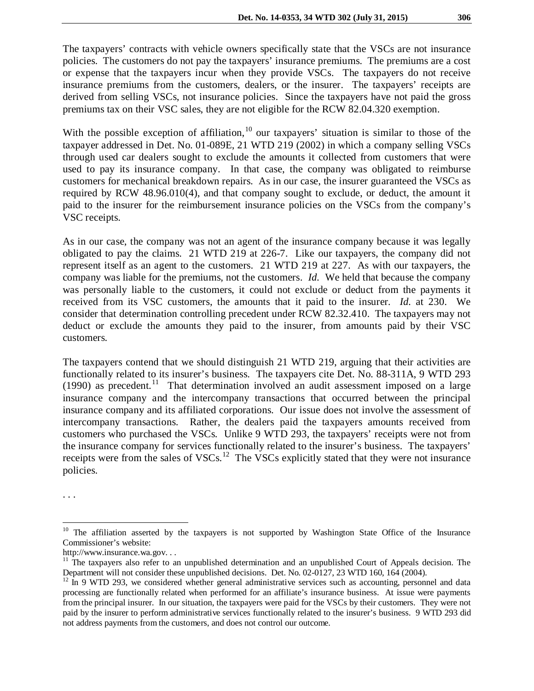The taxpayers' contracts with vehicle owners specifically state that the VSCs are not insurance policies. The customers do not pay the taxpayers' insurance premiums. The premiums are a cost or expense that the taxpayers incur when they provide VSCs. The taxpayers do not receive insurance premiums from the customers, dealers, or the insurer. The taxpayers' receipts are derived from selling VSCs, not insurance policies. Since the taxpayers have not paid the gross premiums tax on their VSC sales, they are not eligible for the RCW 82.04.320 exemption.

With the possible exception of affiliation,<sup>[10](#page-4-0)</sup> our taxpayers' situation is similar to those of the taxpayer addressed in Det. No. 01-089E, 21 WTD 219 (2002) in which a company selling VSCs through used car dealers sought to exclude the amounts it collected from customers that were used to pay its insurance company. In that case, the company was obligated to reimburse customers for mechanical breakdown repairs. As in our case, the insurer guaranteed the VSCs as required by RCW 48.96.010(4), and that company sought to exclude, or deduct, the amount it paid to the insurer for the reimbursement insurance policies on the VSCs from the company's VSC receipts.

As in our case, the company was not an agent of the insurance company because it was legally obligated to pay the claims. 21 WTD 219 at 226-7. Like our taxpayers, the company did not represent itself as an agent to the customers. 21 WTD 219 at 227. As with our taxpayers, the company was liable for the premiums, not the customers. *Id.* We held that because the company was personally liable to the customers, it could not exclude or deduct from the payments it received from its VSC customers, the amounts that it paid to the insurer. *Id.* at 230. We consider that determination controlling precedent under RCW 82.32.410. The taxpayers may not deduct or exclude the amounts they paid to the insurer, from amounts paid by their VSC customers.

The taxpayers contend that we should distinguish 21 WTD 219, arguing that their activities are functionally related to its insurer's business. The taxpayers cite Det. No. 88-311A, 9 WTD 293 (1990) as precedent.<sup>[11](#page-4-1)</sup> That determination involved an audit assessment imposed on a large insurance company and the intercompany transactions that occurred between the principal insurance company and its affiliated corporations. Our issue does not involve the assessment of intercompany transactions. Rather, the dealers paid the taxpayers amounts received from customers who purchased the VSCs. Unlike 9 WTD 293, the taxpayers' receipts were not from the insurance company for services functionally related to the insurer's business. The taxpayers' receipts were from the sales of  $VSCs$ .<sup>[12](#page-4-2)</sup> The VSCs explicitly stated that they were not insurance policies.

. . .

<span id="page-4-0"></span><sup>&</sup>lt;sup>10</sup> The affiliation asserted by the taxpayers is not supported by Washington State Office of the Insurance Commissioner's website:

<span id="page-4-1"></span>http://www.insurance.wa.gov. . .<br><sup>11</sup> The taxpayers also refer to an unpublished determination and an unpublished Court of Appeals decision. The<br>Department will not consider these unpublished decisions. Det. No. 02-0127, 2

<span id="page-4-2"></span> $12$  In 9 WTD 293, we considered whether general administrative services such as accounting, personnel and data processing are functionally related when performed for an affiliate's insurance business. At issue were payments from the principal insurer. In our situation, the taxpayers were paid for the VSCs by their customers. They were not paid by the insurer to perform administrative services functionally related to the insurer's business. 9 WTD 293 did not address payments from the customers, and does not control our outcome.